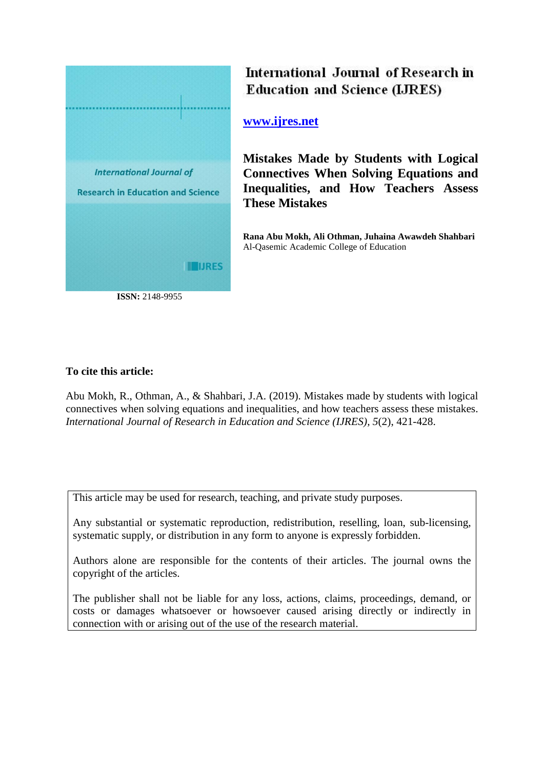

**ISSN:** 2148-9955

# International Journal of Research in **Education and Science (LIRES)**

## **[www.ijres.net](http://www.ijres.net/)**

**Mistakes Made by Students with Logical Connectives When Solving Equations and Inequalities, and How Teachers Assess These Mistakes**

**Rana Abu Mokh, Ali Othman, Juhaina Awawdeh Shahbari** Al-Qasemic Academic College of Education

## **To cite this article:**

Abu Mokh, R., Othman, A., & Shahbari, J.A. (2019). Mistakes made by students with logical connectives when solving equations and inequalities, and how teachers assess these mistakes. *International Journal of Research in Education and Science (IJRES), 5*(2), 421-428.

This article may be used for research, teaching, and private study purposes.

Any substantial or systematic reproduction, redistribution, reselling, loan, sub-licensing, systematic supply, or distribution in any form to anyone is expressly forbidden.

Authors alone are responsible for the contents of their articles. The journal owns the copyright of the articles.

The publisher shall not be liable for any loss, actions, claims, proceedings, demand, or costs or damages whatsoever or howsoever caused arising directly or indirectly in connection with or arising out of the use of the research material.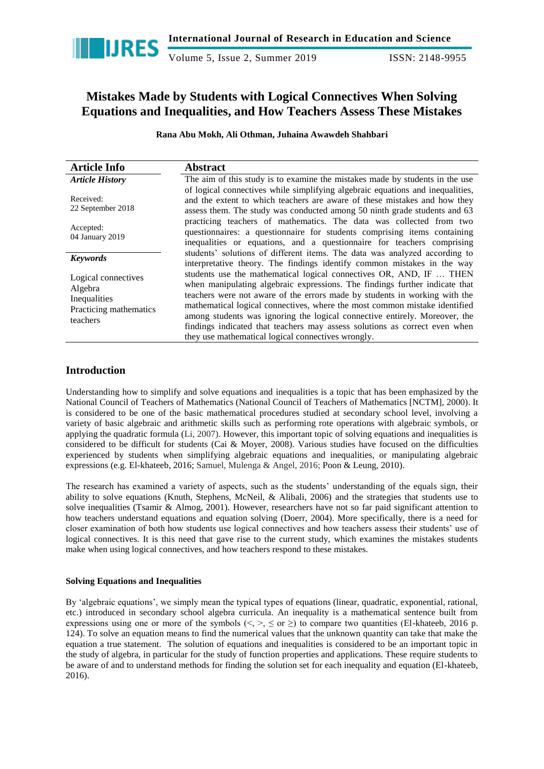

Volume 5, Issue 2, Summer 2019 ISSN: 2148-9955

## **Mistakes Made by Students with Logical Connectives When Solving Equations and Inequalities, and How Teachers Assess These Mistakes**

**Rana Abu Mokh, Ali Othman, Juhaina Awawdeh Shahbari**

| <b>Article Info</b>                                                                  | <b>Abstract</b>                                                                                                                                                                                                                                                                                                                                                                                                                                                                                                                  |
|--------------------------------------------------------------------------------------|----------------------------------------------------------------------------------------------------------------------------------------------------------------------------------------------------------------------------------------------------------------------------------------------------------------------------------------------------------------------------------------------------------------------------------------------------------------------------------------------------------------------------------|
| <b>Article History</b>                                                               | The aim of this study is to examine the mistakes made by students in the use                                                                                                                                                                                                                                                                                                                                                                                                                                                     |
| Received:<br>22 September 2018                                                       | of logical connectives while simplifying algebraic equations and inequalities,<br>and the extent to which teachers are aware of these mistakes and how they<br>assess them. The study was conducted among 50 ninth grade students and 63                                                                                                                                                                                                                                                                                         |
| Accepted:<br>04 January 2019                                                         | practicing teachers of mathematics. The data was collected from two<br>questionnaires: a questionnaire for students comprising items containing<br>inequalities or equations, and a questionnaire for teachers comprising                                                                                                                                                                                                                                                                                                        |
| <b>Keywords</b>                                                                      | students' solutions of different items. The data was analyzed according to<br>interpretative theory. The findings identify common mistakes in the way                                                                                                                                                                                                                                                                                                                                                                            |
| Logical connectives<br>Algebra<br>Inequalities<br>Practicing mathematics<br>teachers | students use the mathematical logical connectives OR, AND, IF  THEN<br>when manipulating algebraic expressions. The findings further indicate that<br>teachers were not aware of the errors made by students in working with the<br>mathematical logical connectives, where the most common mistake identified<br>among students was ignoring the logical connective entirely. Moreover, the<br>findings indicated that teachers may assess solutions as correct even when<br>they use mathematical logical connectives wrongly. |

### **Introduction**

Understanding how to simplify and solve equations and inequalities is a topic that has been emphasized by the National Council of Teachers of Mathematics (National Council of Teachers of Mathematics [NCTM], 2000). It is considered to be one of the basic mathematical procedures studied at secondary school level, involving a variety of basic algebraic and arithmetic skills such as performing rote operations with algebraic symbols, or applying the quadratic formula (Li, 2007). However, this important topic of solving equations and inequalities is considered to be difficult for students (Cai & Moyer, 2008). Various studies have focused on the difficulties experienced by students when simplifying algebraic equations and inequalities, or manipulating algebraic expressions (e.g. El-khateeb, 2016; Samuel, Mulenga & Angel, 2016; Poon & Leung, 2010).

The research has examined a variety of aspects, such as the students' understanding of the equals sign, their ability to solve equations (Knuth, Stephens, McNeil, & Alibali, 2006) and the strategies that students use to solve inequalities (Tsamir & Almog, 2001). However, researchers have not so far paid significant attention to how teachers understand equations and equation solving (Doerr, 2004). More specifically, there is a need for closer examination of both how students use logical connectives and how teachers assess their students' use of logical connectives. It is this need that gave rise to the current study, which examines the mistakes students make when using logical connectives, and how teachers respond to these mistakes.

#### **Solving Equations and Inequalities**

By 'algebraic equations', we simply mean the typical types of equations (linear, quadratic, exponential, rational, etc.) introduced in secondary school algebra curricula. An inequality is a mathematical sentence built from expressions using one or more of the symbols ( $\leq, \leq \leq$  or  $\geq$ ) to compare two quantities (El-khateeb, 2016 p. 124). To solve an equation means to find the numerical values that the unknown quantity can take that make the equation a true statement. The solution of equations and inequalities is considered to be an important topic in the study of algebra, in particular for the study of function properties and applications. These require students to be aware of and to understand methods for finding the solution set for each inequality and equation (El-khateeb, 2016).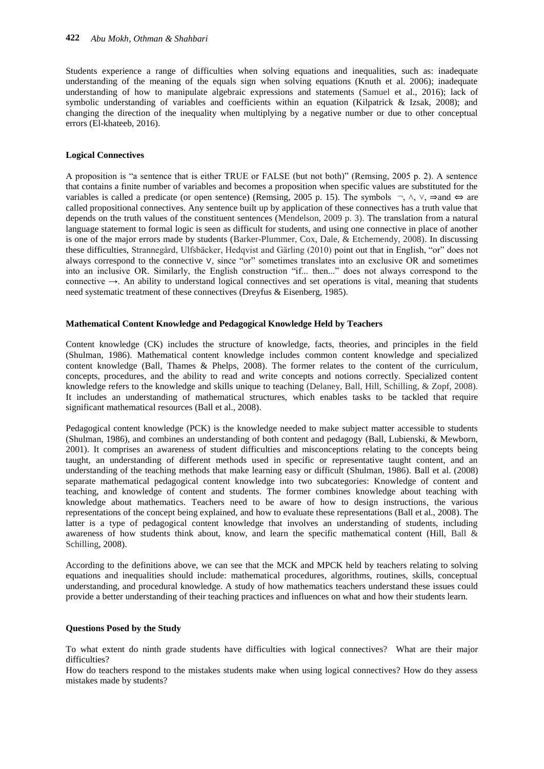Students experience a range of difficulties when solving equations and inequalities, such as: inadequate understanding of the meaning of the equals sign when solving equations (Knuth et al. 2006); inadequate understanding of how to manipulate algebraic expressions and statements (Samuel et al., 2016); lack of symbolic understanding of variables and coefficients within an equation (Kilpatrick & Izsak, 2008); and changing the direction of the inequality when multiplying by a negative number or due to other conceptual errors (El-khateeb, 2016).

#### **Logical Connectives**

A proposition is "a sentence that is either TRUE or FALSE (but not both)" (Remsing, 2005 p. 2). A sentence that contains a finite number of variables and becomes a proposition when specific values are substituted for the variables is called a predicate (or open sentence) (Remsing, 2005 p. 15). The symbols  $\neg \wedge \vee \Rightarrow$  and  $\Leftrightarrow$  are called propositional connectives. Any sentence built up by application of these connectives has a truth value that depends on the truth values of the constituent sentences (Mendelson, 2009 p. 3). The translation from a natural language statement to formal logic is seen as difficult for students, and using one connective in place of another is one of the major errors made by students (Barker-Plummer, Cox, Dale, & Etchemendy, 2008). In discussing these difficulties, Strannegård, Ulfsbäcker, Hedqvist and Gärling (2010) point out that in English, "or" does not always correspond to the connective ∨, since "or" sometimes translates into an exclusive OR and sometimes into an inclusive OR. Similarly, the English construction "if... then..." does not always correspond to the connective →. An ability to understand logical connectives and set operations is vital, meaning that students need systematic treatment of these connectives (Dreyfus & Eisenberg, 1985).

#### **Mathematical Content Knowledge and Pedagogical Knowledge Held by Teachers**

Content knowledge (CK) includes the structure of knowledge, facts, theories, and principles in the field (Shulman, 1986). Mathematical content knowledge includes common content knowledge and specialized content knowledge (Ball, Thames & Phelps, 2008). The former relates to the content of the curriculum, concepts, procedures, and the ability to read and write concepts and notions correctly. Specialized content knowledge refers to the knowledge and skills unique to teaching (Delaney, Ball, Hill, Schilling, & Zopf, 2008). It includes an understanding of mathematical structures, which enables tasks to be tackled that require significant mathematical resources (Ball et al., 2008).

Pedagogical content knowledge (PCK) is the knowledge needed to make subject matter accessible to students (Shulman, 1986), and combines an understanding of both content and pedagogy (Ball, Lubienski, & Mewborn, 2001). It comprises an awareness of student difficulties and misconceptions relating to the concepts being taught, an understanding of different methods used in specific or representative taught content, and an understanding of the teaching methods that make learning easy or difficult (Shulman, 1986). Ball et al. (2008) separate mathematical pedagogical content knowledge into two subcategories: Knowledge of content and teaching, and knowledge of content and students*.* The former combines knowledge about teaching with knowledge about mathematics. Teachers need to be aware of how to design instructions, the various representations of the concept being explained, and how to evaluate these representations (Ball et al., 2008). The latter is a type of pedagogical content knowledge that involves an understanding of students, including awareness of how students think about, know, and learn the specific mathematical content (Hill, Ball & Schilling, 2008).

According to the definitions above, we can see that the MCK and MPCK held by teachers relating to solving equations and inequalities should include: mathematical procedures, algorithms, routines, skills, conceptual understanding, and procedural knowledge. A study of how mathematics teachers understand these issues could provide a better understanding of their teaching practices and influences on what and how their students learn.

#### **Questions Posed by the Study**

To what extent do ninth grade students have difficulties with logical connectives? What are their major difficulties?

How do teachers respond to the mistakes students make when using logical connectives? How do they assess mistakes made by students?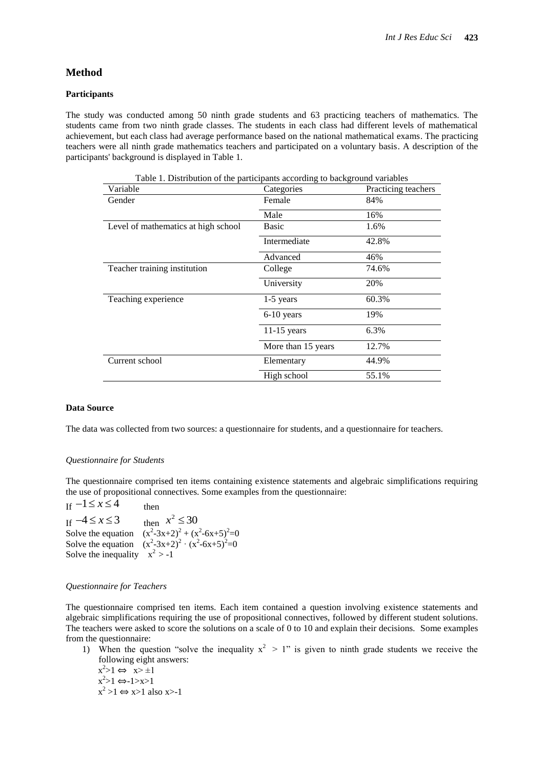#### **Method**

#### **Participants**

The study was conducted among 50 ninth grade students and 63 practicing teachers of mathematics. The students came from two ninth grade classes. The students in each class had different levels of mathematical achievement, but each class had average performance based on the national mathematical exams. The practicing teachers were all ninth grade mathematics teachers and participated on a voluntary basis. A description of the participants' background is displayed in Table 1.

| Variable                            | Categories         | Practicing teachers |
|-------------------------------------|--------------------|---------------------|
| Gender                              | Female             | 84%                 |
|                                     | Male               | 16%                 |
| Level of mathematics at high school | Basic              | 1.6%                |
|                                     | Intermediate       | 42.8%               |
|                                     | Advanced           | 46%                 |
| Teacher training institution        | College            | 74.6%               |
|                                     | University         | 20%                 |
| Teaching experience                 | $1-5$ years        | 60.3%               |
|                                     | 6-10 years         | 19%                 |
|                                     | $11-15$ years      | 6.3%                |
|                                     | More than 15 years | 12.7%               |
| Current school                      | Elementary         | 44.9%               |
|                                     | High school        | 55.1%               |
|                                     |                    |                     |

Table 1. Distribution of the participants according to background variables

#### **Data Source**

The data was collected from two sources: a questionnaire for students, and a questionnaire for teachers.

#### *Questionnaire for Students*

The questionnaire comprised ten items containing existence statements and algebraic simplifications requiring the use of propositional connectives. Some examples from the questionnaire:

If  $-1 \le x \le 4$  then If  $-4 \le x \le 3$  then Solve the equation  $(x^2-3x+2)^2 + (x^2-6x+5)^2=0$ Solve the equation  $(x^2-3x+2)^2 \cdot (x^2-6x+5)^2=0$ Solve the inequality  $x^2 > -1$  $x + 4 \le x \le 3$  $x^2 \le 30$ 

#### *Questionnaire for Teachers*

The questionnaire comprised ten items. Each item contained a question involving existence statements and algebraic simplifications requiring the use of propositional connectives, followed by different student solutions. The teachers were asked to score the solutions on a scale of 0 to 10 and explain their decisions. Some examples from the questionnaire:

1) When the question "solve the inequality  $x^2 > 1$ " is given to ninth grade students we receive the following eight answers:

 $x^2>1 \Leftrightarrow x> \pm 1$  $x^2>1 \Leftrightarrow -1>>1$  $x^2 > 1 \Leftrightarrow x > 1$  also x>-1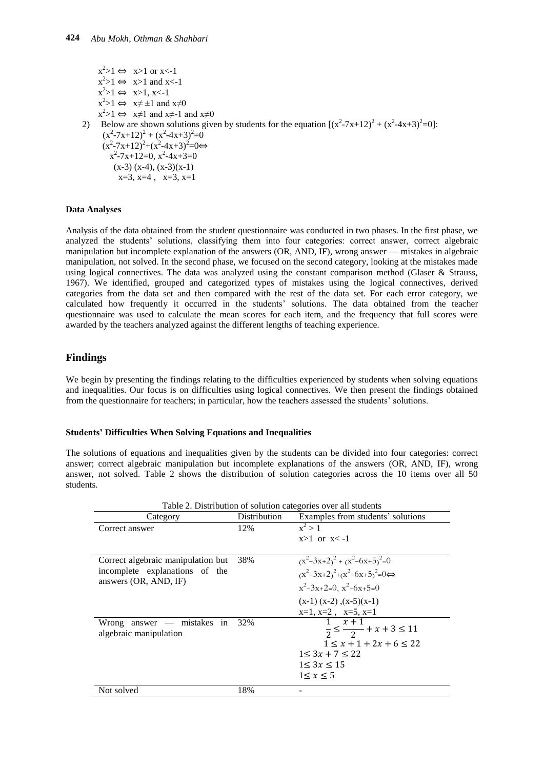$x^2>1 \Leftrightarrow x>1$  or x<-1  $x^2 > 1 \Leftrightarrow x > 1$  and  $x < -1$  $x^2>1 \Leftrightarrow x>1, x<1$  $x^2 > 1 \Leftrightarrow x \neq \pm 1$  and  $x \neq 0$  $x^2 > 1 \Leftrightarrow x \neq 1$  and  $x \neq 0$ 2) Below are shown solutions given by students for the equation  $[(x^2-7x+12)^2 + (x^2-4x+3)^2=0]$ :  $(x^2-7x+12)^2 + (x^2-4x+3)^2 = 0$  $(x^2-7x+12)^2+(x^2-4x+3)^2=0 \Leftrightarrow$  $x^2 - 7x + 12 = 0$ ,  $x^2 - 4x + 3 = 0$  $(x-3)(x-4)$ ,  $(x-3)(x-1)$  $x=3$ ,  $x=4$ ,  $x=3$ ,  $x=1$ 

#### **Data Analyses**

Analysis of the data obtained from the student questionnaire was conducted in two phases. In the first phase, we analyzed the students' solutions, classifying them into four categories: correct answer, correct algebraic manipulation but incomplete explanation of the answers (OR, AND, IF), wrong answer — mistakes in algebraic manipulation, not solved. In the second phase, we focused on the second category, looking at the mistakes made using logical connectives. The data was analyzed using the constant comparison method (Glaser & Strauss, 1967). We identified, grouped and categorized types of mistakes using the logical connectives, derived categories from the data set and then compared with the rest of the data set. For each error category, we calculated how frequently it occurred in the students' solutions. The data obtained from the teacher questionnaire was used to calculate the mean scores for each item, and the frequency that full scores were awarded by the teachers analyzed against the different lengths of teaching experience.

### **Findings**

We begin by presenting the findings relating to the difficulties experienced by students when solving equations and inequalities. Our focus is on difficulties using logical connectives. We then present the findings obtained from the questionnaire for teachers; in particular, how the teachers assessed the students' solutions.

#### **Students' Difficulties When Solving Equations and Inequalities**

The solutions of equations and inequalities given by the students can be divided into four categories: correct answer; correct algebraic manipulation but incomplete explanations of the answers (OR, AND, IF), wrong answer, not solved. Table 2 shows the distribution of solution categories across the 10 items over all 50 students.

| Table 2. Distribution of solution categories over all students |                     |                                                                 |  |
|----------------------------------------------------------------|---------------------|-----------------------------------------------------------------|--|
| Category                                                       | <b>Distribution</b> | Examples from students' solutions                               |  |
| Correct answer                                                 | 12%                 | $x^2 > 1$                                                       |  |
|                                                                |                     | $x>1$ or $x<-1$                                                 |  |
|                                                                |                     |                                                                 |  |
| Correct algebraic manipulation but                             | 38%                 | $(x^2-3x+2)^2 + (x^2-6x+5)^2=0$                                 |  |
| incomplete explanations of the<br>answers (OR, AND, IF)        |                     | $(x^2-3x+2)^2+(x^2-6x+5)^2=0 \Leftrightarrow$                   |  |
|                                                                |                     | $x^2-3x+2=0$ , $x^2-6x+5=0$                                     |  |
|                                                                |                     | $(x-1)(x-2)$ , $(x-5)(x-1)$                                     |  |
|                                                                |                     | $x=1$ , $x=2$ , $x=5$ , $x=1$                                   |  |
| $answer$ - mistakes in<br>Wrong<br>algebraic manipulation      | 32%                 | $1 \quad x+1$<br>$\frac{1}{2} \leq \frac{1}{2} + x + 3 \leq 11$ |  |
|                                                                |                     | $1 \le x + 1 + 2x + 6 \le 22$                                   |  |
|                                                                |                     | $1 < 3x + 7 < 22$                                               |  |
|                                                                |                     | 1 < 3x < 15                                                     |  |
|                                                                |                     | 1 < x < 5                                                       |  |
| Not solved                                                     | 18%                 |                                                                 |  |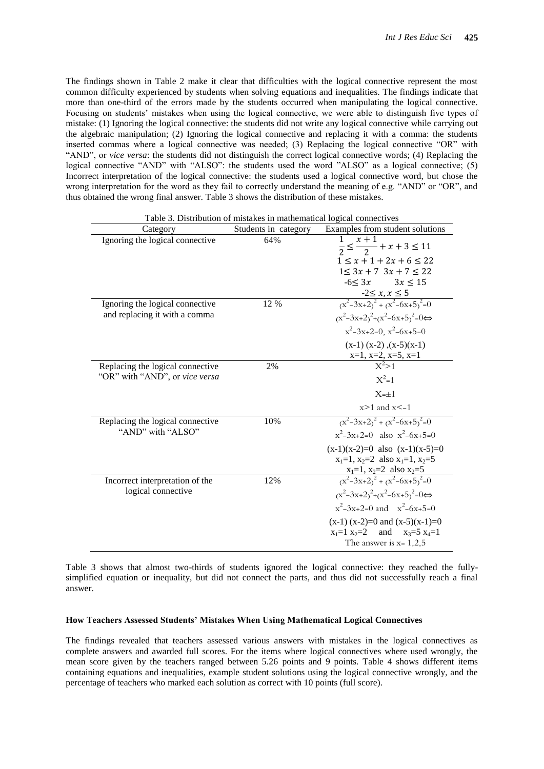The findings shown in Table 2 make it clear that difficulties with the logical connective represent the most common difficulty experienced by students when solving equations and inequalities. The findings indicate that more than one-third of the errors made by the students occurred when manipulating the logical connective. Focusing on students' mistakes when using the logical connective, we were able to distinguish five types of mistake: (1) Ignoring the logical connective: the students did not write any logical connective while carrying out the algebraic manipulation; (2) Ignoring the logical connective and replacing it with a comma: the students inserted commas where a logical connective was needed; (3) Replacing the logical connective "OR" with ―AND‖, or *vice versa*: the students did not distinguish the correct logical connective words; (4) Replacing the logical connective "AND" with "ALSO": the students used the word "ALSO" as a logical connective; (5) Incorrect interpretation of the logical connective: the students used a logical connective word, but chose the wrong interpretation for the word as they fail to correctly understand the meaning of e.g. "AND" or "OR", and thus obtained the wrong final answer. Table 3 shows the distribution of these mistakes.

| I abic 5. Distribution of mistakes in mathematical logical connectives |                                                                     |                                                                               |
|------------------------------------------------------------------------|---------------------------------------------------------------------|-------------------------------------------------------------------------------|
|                                                                        | Examples from student solutions<br>Students in category<br>Category |                                                                               |
| Ignoring the logical connective                                        | 64%                                                                 | $x + 1$<br>1<br>$\frac{1}{2} \leq \frac{x+1}{2} + x + 3 \leq 11$              |
|                                                                        |                                                                     | $1 \le x + 1 + 2x + 6 \le 22$                                                 |
|                                                                        |                                                                     | $1 \leq 3x + 7$ $3x + 7 \leq 22$                                              |
|                                                                        |                                                                     | $-6 < 3x$ $3x \le 15$                                                         |
|                                                                        |                                                                     |                                                                               |
| Ignoring the logical connective                                        | 12 %                                                                | $\frac{-2 \le x, x \le 5}{(x^2 - 3x + 2)^2 + (x^2 - 6x + 5)^2} = 0$           |
| and replacing it with a comma                                          |                                                                     | $(x^2-3x+2)^2+(x^2-6x+5)^2=0 \Leftrightarrow$                                 |
|                                                                        |                                                                     | $x^2-3x+2=0$ , $x^2-6x+5=0$                                                   |
|                                                                        |                                                                     | $(x-1)(x-2)$ , $(x-5)(x-1)$                                                   |
|                                                                        |                                                                     | $\frac{x=1, x=2, x=5, x=1}{x^2>1}$                                            |
| Replacing the logical connective                                       | 2%                                                                  |                                                                               |
| "OR" with "AND", or vice versa                                         |                                                                     | $X^2 = 1$                                                                     |
|                                                                        |                                                                     | $X=\pm 1$                                                                     |
|                                                                        |                                                                     | $x>1$ and $x<-1$                                                              |
| Replacing the logical connective                                       | 10%                                                                 | $\frac{x^2-3x+2}{(x^2-6x+5)}$ <sup>2</sup> =0                                 |
| "AND" with "ALSO"                                                      |                                                                     | $x^2-3x+2=0$ also $x^2-6x+5=0$                                                |
|                                                                        |                                                                     | $(x-1)(x-2)=0$ also $(x-1)(x-5)=0$                                            |
|                                                                        |                                                                     | $x_1=1$ , $x_2=2$ also $x_1=1$ , $x_2=5$                                      |
|                                                                        |                                                                     |                                                                               |
| Incorrect interpretation of the                                        | 12%                                                                 | $x_1=1$ , $x_2=2$ also $x_2=5$<br>$\frac{(x^2-3x+2)^2 + (x^2-6x+5)^2}{2} = 0$ |
| logical connective                                                     |                                                                     | $(x^2-3x+2)^2+(x^2-6x+5)^2=0 \Leftrightarrow$                                 |
|                                                                        |                                                                     | $x^2-3x+2=0$ and $x^2-6x+5=0$                                                 |
|                                                                        |                                                                     | $(x-1)(x-2)=0$ and $(x-5)(x-1)=0$                                             |
|                                                                        |                                                                     | and $x_3=5$ $x_4=1$<br>$x_1=1$ $x_2=2$                                        |
|                                                                        |                                                                     | The answer is $x = 1,2,5$                                                     |
|                                                                        |                                                                     |                                                                               |

Table 3. Distribution of mistakes in mathematical logical connectives

Table 3 shows that almost two-thirds of students ignored the logical connective: they reached the fullysimplified equation or inequality, but did not connect the parts, and thus did not successfully reach a final answer.

#### **How Teachers Assessed Students' Mistakes When Using Mathematical Logical Connectives**

The findings revealed that teachers assessed various answers with mistakes in the logical connectives as complete answers and awarded full scores. For the items where logical connectives where used wrongly, the mean score given by the teachers ranged between 5.26 points and 9 points. Table 4 shows different items containing equations and inequalities, example student solutions using the logical connective wrongly, and the percentage of teachers who marked each solution as correct with 10 points (full score).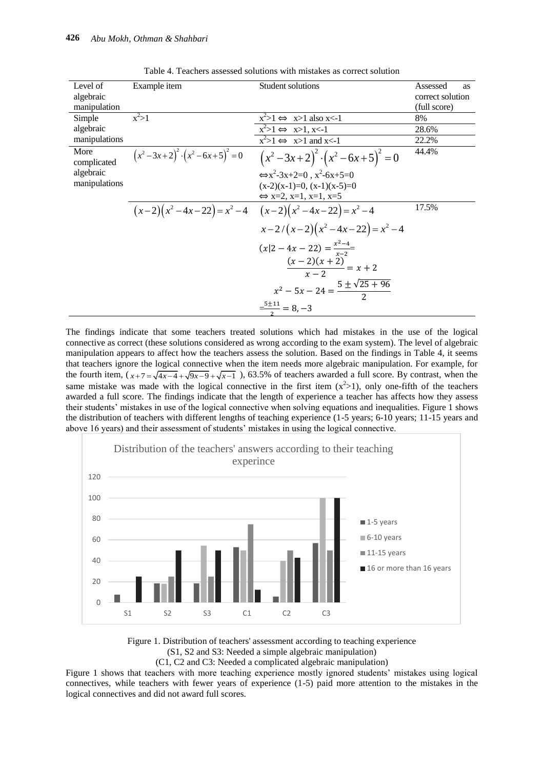| Level of<br>algebraic<br>manipulation | Example item                                      | Student solutions                                                   | Assessed<br><b>as</b><br>correct solution<br>(full score) |
|---------------------------------------|---------------------------------------------------|---------------------------------------------------------------------|-----------------------------------------------------------|
| Simple                                | $x^2>1$                                           | $x^2>1 \Leftrightarrow x>1$ also x<-1                               | 8%                                                        |
| algebraic                             |                                                   | $x^2>1 \Leftrightarrow x>1, x<1$                                    | 28.6%                                                     |
| manipulations                         |                                                   | $x^2>1 \Leftrightarrow x>1$ and x<-1                                | 22.2%                                                     |
| More<br>complicated                   | $(x^{2}-3x+2)^{2} \cdot (x^{2}-6x+5)^{2} = 0$     | $(x^{2}-3x+2)^{2} \cdot (x^{2}-6x+5)^{2} = 0$                       | 44.4%                                                     |
| algebraic                             |                                                   | $\Leftrightarrow x^2 - 3x + 2 = 0$ , $x^2 - 6x + 5 = 0$             |                                                           |
| manipulations                         |                                                   | $(x-2)(x-1)=0$ , $(x-1)(x-5)=0$                                     |                                                           |
|                                       |                                                   | $\Leftrightarrow$ x=2, x=1, x=1, x=5                                |                                                           |
|                                       | $(x-2)(x^2-4x-22)=x^2-4$ $(x-2)(x^2-4x-22)=x^2-4$ |                                                                     | 17.5%                                                     |
|                                       |                                                   | $x-2/(x-2)(x^2-4x-22)=x^2-4$                                        |                                                           |
|                                       |                                                   | $(x 2-4x-22) = \frac{x^2-4}{x-2}$<br>$\frac{(x-2)(x+2)}{x-2} = x+2$ |                                                           |
|                                       |                                                   | $x^2-5x-24=\frac{5\pm\sqrt{25+96}}{2}$                              |                                                           |
|                                       |                                                   | $\frac{-5\pm11}{2} = 8, -3$                                         |                                                           |

Table 4. Teachers assessed solutions with mistakes as correct solution

The findings indicate that some teachers treated solutions which had mistakes in the use of the logical connective as correct (these solutions considered as wrong according to the exam system). The level of algebraic manipulation appears to affect how the teachers assess the solution. Based on the findings in Table 4, it seems that teachers ignore the logical connective when the item needs more algebraic manipulation. For example, for that teachers ignore the logical connective when the tiem needs more algebraic mampulation. For example, for the fourth item,  $(x+7) = \sqrt{4x-4} + \sqrt{9x-9} + \sqrt{x-1}$ , 63.5% of teachers awarded a full score. By contrast, when the same mistake was made with the logical connective in the first item  $(x^2>1)$ , only one-fifth of the teachers awarded a full score. The findings indicate that the length of experience a teacher has affects how they assess their students' mistakes in use of the logical connective when solving equations and inequalities. Figure 1 shows the distribution of teachers with different lengths of teaching experience (1-5 years; 6-10 years; 11-15 years and above 16 years) and their assessment of students' mistakes in using the logical connective.



Figure 1. Distribution of teachers' assessment according to teaching experience (S1, S2 and S3: Needed a simple algebraic manipulation)

(C1, C2 and C3: Needed a complicated algebraic manipulation)

Figure 1 shows that teachers with more teaching experience mostly ignored students' mistakes using logical connectives, while teachers with fewer years of experience (1-5) paid more attention to the mistakes in the logical connectives and did not award full scores.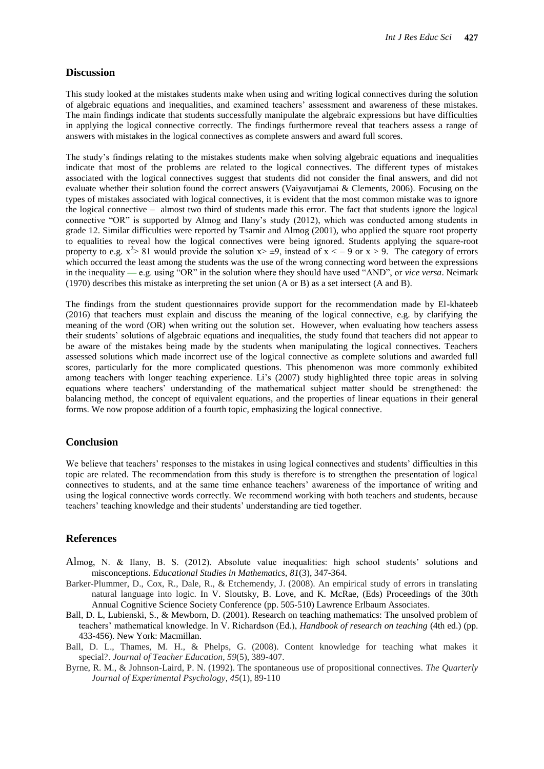#### **Discussion**

This study looked at the mistakes students make when using and writing logical connectives during the solution of algebraic equations and inequalities, and examined teachers' assessment and awareness of these mistakes. The main findings indicate that students successfully manipulate the algebraic expressions but have difficulties in applying the logical connective correctly. The findings furthermore reveal that teachers assess a range of answers with mistakes in the logical connectives as complete answers and award full scores.

The study's findings relating to the mistakes students make when solving algebraic equations and inequalities indicate that most of the problems are related to the logical connectives. The different types of mistakes associated with the logical connectives suggest that students did not consider the final answers, and did not evaluate whether their solution found the correct answers (Vaiyavutjamai & Clements, 2006). Focusing on the types of mistakes associated with logical connectives, it is evident that the most common mistake was to ignore the logical connective – almost two third of students made this error. The fact that students ignore the logical connective "OR" is supported by Almog and Ilany's study (2012), which was conducted among students in grade 12. Similar difficulties were reported by Tsamir and Almog (2001), who applied the square root property to equalities to reveal how the logical connectives were being ignored. Students applying the square-root property to e.g.  $x^2 > 81$  would provide the solution  $x > \pm 9$ , instead of  $x < -9$  or  $x > 9$ . The category of errors which occurred the least among the students was the use of the wrong connecting word between the expressions in the inequality — e.g. using "OR" in the solution where they should have used "AND", or *vice versa*. Neimark (1970) describes this mistake as interpreting the set union (A or B) as a set intersect (A and B).

The findings from the student questionnaires provide support for the recommendation made by El-khateeb (2016) that teachers must explain and discuss the meaning of the logical connective, e.g. by clarifying the meaning of the word (OR) when writing out the solution set. However, when evaluating how teachers assess their students' solutions of algebraic equations and inequalities, the study found that teachers did not appear to be aware of the mistakes being made by the students when manipulating the logical connectives. Teachers assessed solutions which made incorrect use of the logical connective as complete solutions and awarded full scores, particularly for the more complicated questions. This phenomenon was more commonly exhibited among teachers with longer teaching experience. Li's (2007) study highlighted three topic areas in solving equations where teachers' understanding of the mathematical subject matter should be strengthened: the balancing method, the concept of equivalent equations, and the properties of linear equations in their general forms. We now propose addition of a fourth topic, emphasizing the logical connective.

#### **Conclusion**

We believe that teachers' responses to the mistakes in using logical connectives and students' difficulties in this topic are related. The recommendation from this study is therefore is to strengthen the presentation of logical connectives to students, and at the same time enhance teachers' awareness of the importance of writing and using the logical connective words correctly. We recommend working with both teachers and students, because teachers' teaching knowledge and their students' understanding are tied together.

#### **References**

- Almog, N. & Ilany, B. S. (2012). Absolute value inequalities: high school students' solutions and misconceptions. *Educational Studies in Mathematics, 81*(3), 347-364.
- Barker-Plummer, D., Cox, R., Dale, R., & Etchemendy, J. (2008). An empirical study of errors in translating natural language into logic. In V. Sloutsky, B. Love, and K. McRae, (Eds) Proceedings of the 30th Annual Cognitive Science Society Conference (pp. 505-510) Lawrence Erlbaum Associates.
- Ball, D. L, Lubienski, S., & Mewborn, D. (2001). Research on teaching mathematics: The unsolved problem of teachers' mathematical knowledge. In V. Richardson (Ed.), *Handbook of research on teaching* (4th ed.) (pp. 433-456). New York: Macmillan.
- Ball, D. L., Thames, M. H., & Phelps, G. (2008). Content knowledge for teaching what makes it special?. *Journal of Teacher Education*, *59*(5), 389-407.
- Byrne, R. M., & Johnson-Laird, P. N. (1992). The spontaneous use of propositional connectives. *The Quarterly Journal of Experimental Psychology*, *45*(1), 89-110